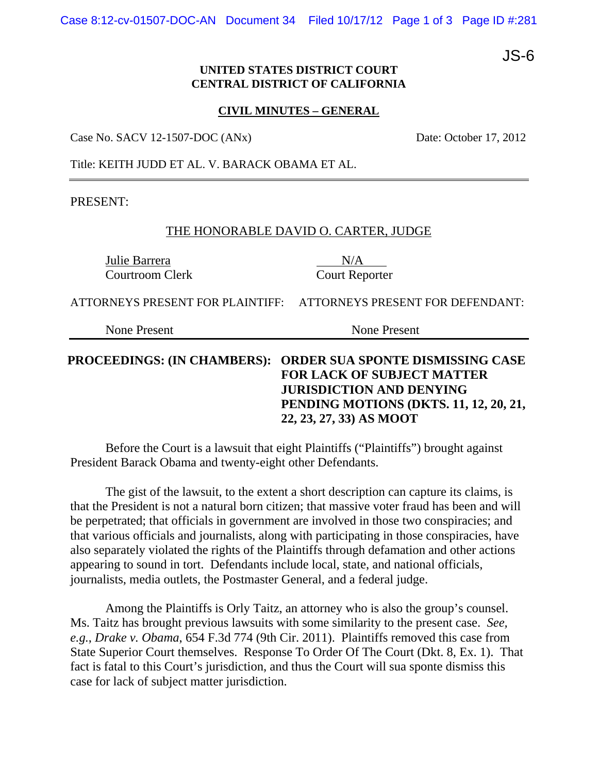Case 8:12-cv-01507-DOC-AN Document 34 Filed 10/17/12 Page 1 of 3 Page ID #:281

JS-6

# **UNITED STATES DISTRICT COURT CENTRAL DISTRICT OF CALIFORNIA**

#### **CIVIL MINUTES – GENERAL**

Case No. SACV 12-1507-DOC (ANx) Date: October 17, 2012

Title: KEITH JUDD ET AL. V. BARACK OBAMA ET AL.

PRESENT:

## THE HONORABLE DAVID O. CARTER, JUDGE

Julie Barrera N/A Courtroom Clerk Court Reporter

ATTORNEYS PRESENT FOR PLAINTIFF: ATTORNEYS PRESENT FOR DEFENDANT:

None Present None Present

# **PROCEEDINGS: (IN CHAMBERS): ORDER SUA SPONTE DISMISSING CASE FOR LACK OF SUBJECT MATTER JURISDICTION AND DENYING PENDING MOTIONS (DKTS. 11, 12, 20, 21, 22, 23, 27, 33) AS MOOT**

 Before the Court is a lawsuit that eight Plaintiffs ("Plaintiffs") brought against President Barack Obama and twenty-eight other Defendants.

The gist of the lawsuit, to the extent a short description can capture its claims, is that the President is not a natural born citizen; that massive voter fraud has been and will be perpetrated; that officials in government are involved in those two conspiracies; and that various officials and journalists, along with participating in those conspiracies, have also separately violated the rights of the Plaintiffs through defamation and other actions appearing to sound in tort. Defendants include local, state, and national officials, journalists, media outlets, the Postmaster General, and a federal judge.

Among the Plaintiffs is Orly Taitz, an attorney who is also the group's counsel. Ms. Taitz has brought previous lawsuits with some similarity to the present case. *See, e.g.*, *Drake v. Obama*, 654 F.3d 774 (9th Cir. 2011). Plaintiffs removed this case from State Superior Court themselves. Response To Order Of The Court (Dkt. 8, Ex. 1). That fact is fatal to this Court's jurisdiction, and thus the Court will sua sponte dismiss this case for lack of subject matter jurisdiction.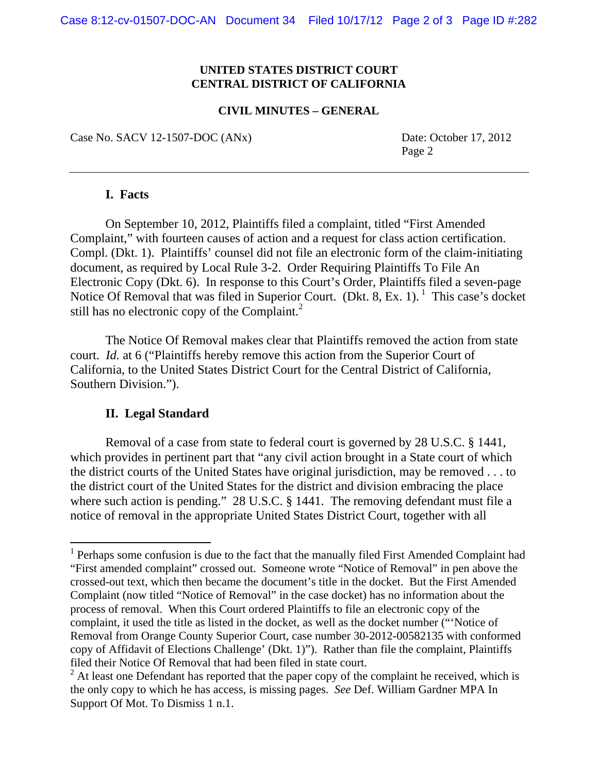## **UNITED STATES DISTRICT COURT CENTRAL DISTRICT OF CALIFORNIA**

#### **CIVIL MINUTES – GENERAL**

Case No. SACV 12-1507-DOC (ANx) Date: October 17, 2012

Page 2

## **I. Facts**

On September 10, 2012, Plaintiffs filed a complaint, titled "First Amended Complaint," with fourteen causes of action and a request for class action certification. Compl. (Dkt. 1). Plaintiffs' counsel did not file an electronic form of the claim-initiating document, as required by Local Rule 3-2. Order Requiring Plaintiffs To File An Electronic Copy (Dkt. 6). In response to this Court's Order, Plaintiffs filed a seven-page Notice Of Removal that was filed in Superior Court. (Dkt. 8, Ex. 1).  $1$  This case's docket still has no electronic copy of the Complaint. $^{2}$ 

The Notice Of Removal makes clear that Plaintiffs removed the action from state court. *Id.* at 6 ("Plaintiffs hereby remove this action from the Superior Court of California, to the United States District Court for the Central District of California, Southern Division.").

#### **II. Legal Standard**

 $\overline{a}$ 

Removal of a case from state to federal court is governed by 28 U.S.C. § 1441, which provides in pertinent part that "any civil action brought in a State court of which the district courts of the United States have original jurisdiction, may be removed . . . to the district court of the United States for the district and division embracing the place where such action is pending." 28 U.S.C. § 1441. The removing defendant must file a notice of removal in the appropriate United States District Court, together with all

<sup>&</sup>lt;sup>1</sup> Perhaps some confusion is due to the fact that the manually filed First Amended Complaint had "First amended complaint" crossed out. Someone wrote "Notice of Removal" in pen above the crossed-out text, which then became the document's title in the docket. But the First Amended Complaint (now titled "Notice of Removal" in the case docket) has no information about the process of removal. When this Court ordered Plaintiffs to file an electronic copy of the complaint, it used the title as listed in the docket, as well as the docket number ("'Notice of Removal from Orange County Superior Court, case number 30-2012-00582135 with conformed copy of Affidavit of Elections Challenge' (Dkt. 1)"). Rather than file the complaint, Plaintiffs filed their Notice Of Removal that had been filed in state court.

 $2^2$  At least one Defendant has reported that the paper copy of the complaint he received, which is the only copy to which he has access, is missing pages. *See* Def. William Gardner MPA In Support Of Mot. To Dismiss 1 n.1.